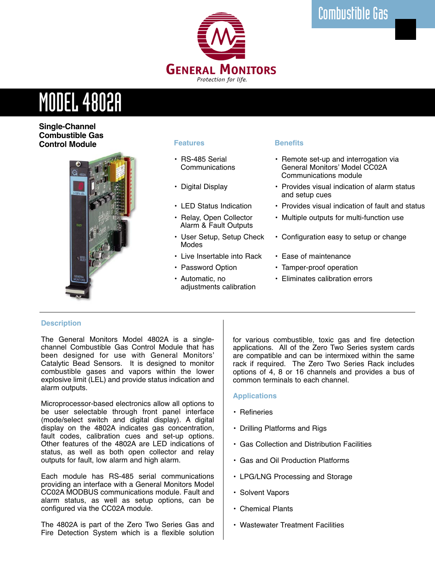

# MODEL 4802A

**Single-Channel Combustible Gas Control Module**



# **Features**

- RS-485 Serial **Communications**
- Digital Display
- LED Status Indication
- Relay, Open Collector Alarm & Fault Outputs
- User Setup, Setup Check Modes
- Live Insertable into Rack
- Password Option
- Automatic, no adjustments calibration

# **Benefits**

- Remote set-up and interrogation via General Monitors' Model CC02A Communications module
- Provides visual indication of alarm status and setup cues
- Provides visual indication of fault and status
- Multiple outputs for multi-function use
- Configuration easy to setup or change
- Ease of maintenance
- Tamper-proof operation
- Eliminates calibration errors

# **Description**

The General Monitors Model 4802A is a singlechannel Combustible Gas Control Module that has been designed for use with General Monitors' Catalytic Bead Sensors. It is designed to monitor combustible gases and vapors within the lower explosive limit (LEL) and provide status indication and alarm outputs.

Microprocessor-based electronics allow all options to be user selectable through front panel interface (mode/select switch and digital display). A digital display on the 4802A indicates gas concentration, fault codes, calibration cues and set-up options. Other features of the 4802A are LED indications of status, as well as both open collector and relay outputs for fault, low alarm and high alarm.

Each module has RS-485 serial communications providing an interface with a General Monitors Model CC02A MODBUS communications module. Fault and alarm status, as well as setup options, can be configured via the CC02A module.

The 4802A is part of the Zero Two Series Gas and Fire Detection System which is a flexible solution for various combustible, toxic gas and fire detection applications. All of the Zero Two Series system cards are compatible and can be intermixed within the same rack if required. The Zero Two Series Rack includes options of 4, 8 or 16 channels and provides a bus of common terminals to each channel.

# **Applications**

- Refineries
- Drilling Platforms and Rigs
- Gas Collection and Distribution Facilities
- Gas and Oil Production Platforms
- LPG/LNG Processing and Storage
- Solvent Vapors
- Chemical Plants
- Wastewater Treatment Facilities